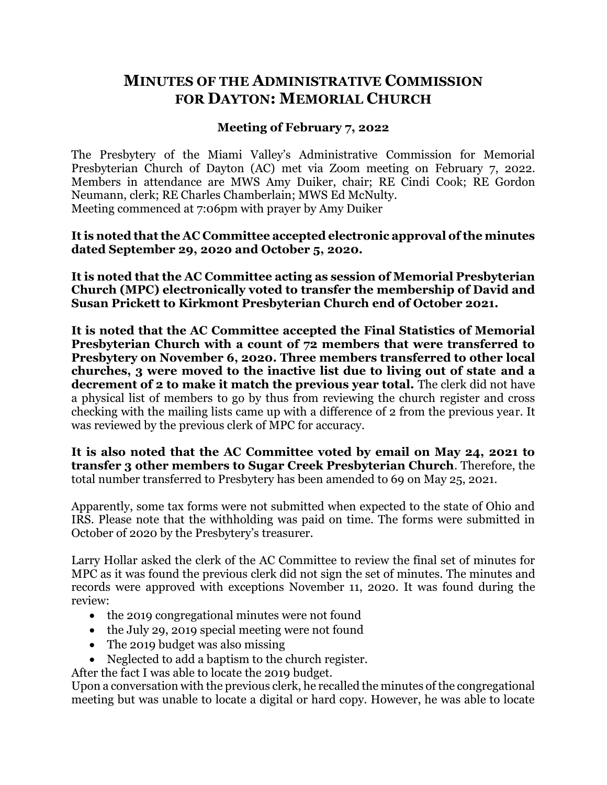## **MINUTES OF THE ADMINISTRATIVE COMMISSION FOR DAYTON: MEMORIAL CHURCH**

## **Meeting of February 7, 2022**

The Presbytery of the Miami Valley's Administrative Commission for Memorial Presbyterian Church of Dayton (AC) met via Zoom meeting on February 7, 2022. Members in attendance are MWS Amy Duiker, chair; RE Cindi Cook; RE Gordon Neumann, clerk; RE Charles Chamberlain; MWS Ed McNulty. Meeting commenced at 7:06pm with prayer by Amy Duiker

**It is noted that the AC Committee accepted electronic approval of the minutes dated September 29, 2020 and October 5, 2020.**

**It is noted that the AC Committee acting as session of Memorial Presbyterian Church (MPC) electronically voted to transfer the membership of David and Susan Prickett to Kirkmont Presbyterian Church end of October 2021.**

**It is noted that the AC Committee accepted the Final Statistics of Memorial Presbyterian Church with a count of 72 members that were transferred to Presbytery on November 6, 2020***.* **Three members transferred to other local churches, 3 were moved to the inactive list due to living out of state and a decrement of 2 to make it match the previous year total.** The clerk did not have a physical list of members to go by thus from reviewing the church register and cross checking with the mailing lists came up with a difference of 2 from the previous year. It was reviewed by the previous clerk of MPC for accuracy.

**It is also noted that the AC Committee voted by email on May 24, 2021 to transfer 3 other members to Sugar Creek Presbyterian Church**. Therefore, the total number transferred to Presbytery has been amended to 69 on May 25, 2021.

Apparently, some tax forms were not submitted when expected to the state of Ohio and IRS. Please note that the withholding was paid on time. The forms were submitted in October of 2020 by the Presbytery's treasurer.

Larry Hollar asked the clerk of the AC Committee to review the final set of minutes for MPC as it was found the previous clerk did not sign the set of minutes. The minutes and records were approved with exceptions November 11, 2020. It was found during the review:

- the 2019 congregational minutes were not found
- the July 29, 2019 special meeting were not found
- The 2019 budget was also missing
- Neglected to add a baptism to the church register.

After the fact I was able to locate the 2019 budget.

Upon a conversation with the previous clerk, he recalled the minutes of the congregational meeting but was unable to locate a digital or hard copy. However, he was able to locate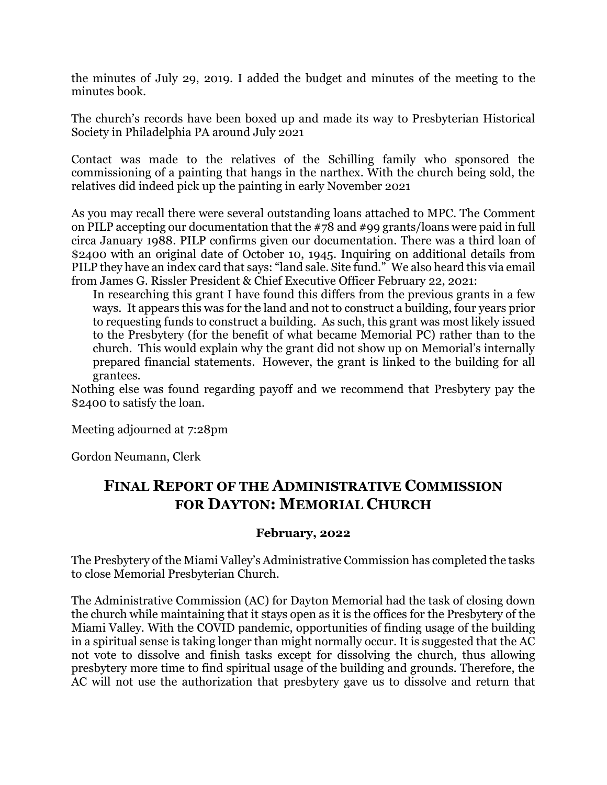the minutes of July 29, 2019. I added the budget and minutes of the meeting to the minutes book.

The church's records have been boxed up and made its way to Presbyterian Historical Society in Philadelphia PA around July 2021

Contact was made to the relatives of the Schilling family who sponsored the commissioning of a painting that hangs in the narthex. With the church being sold, the relatives did indeed pick up the painting in early November 2021

As you may recall there were several outstanding loans attached to MPC. The Comment on PILP accepting our documentation that the #78 and #99 grants/loans were paid in full circa January 1988. PILP confirms given our documentation. There was a third loan of \$2400 with an original date of October 10, 1945. Inquiring on additional details from PILP they have an index card that says: "land sale. Site fund." We also heard this via email from James G. Rissler President & Chief Executive Officer February 22, 2021:

In researching this grant I have found this differs from the previous grants in a few ways. It appears this was for the land and not to construct a building, four years prior to requesting funds to construct a building. As such, this grant was most likely issued to the Presbytery (for the benefit of what became Memorial PC) rather than to the church. This would explain why the grant did not show up on Memorial's internally prepared financial statements. However, the grant is linked to the building for all grantees.

Nothing else was found regarding payoff and we recommend that Presbytery pay the \$2400 to satisfy the loan.

Meeting adjourned at 7:28pm

Gordon Neumann, Clerk

## **FINAL REPORT OF THE ADMINISTRATIVE COMMISSION FOR DAYTON: MEMORIAL CHURCH**

## **February, 2022**

The Presbytery of the Miami Valley's Administrative Commission has completed the tasks to close Memorial Presbyterian Church.

The Administrative Commission (AC) for Dayton Memorial had the task of closing down the church while maintaining that it stays open as it is the offices for the Presbytery of the Miami Valley. With the COVID pandemic, opportunities of finding usage of the building in a spiritual sense is taking longer than might normally occur. It is suggested that the AC not vote to dissolve and finish tasks except for dissolving the church, thus allowing presbytery more time to find spiritual usage of the building and grounds. Therefore, the AC will not use the authorization that presbytery gave us to dissolve and return that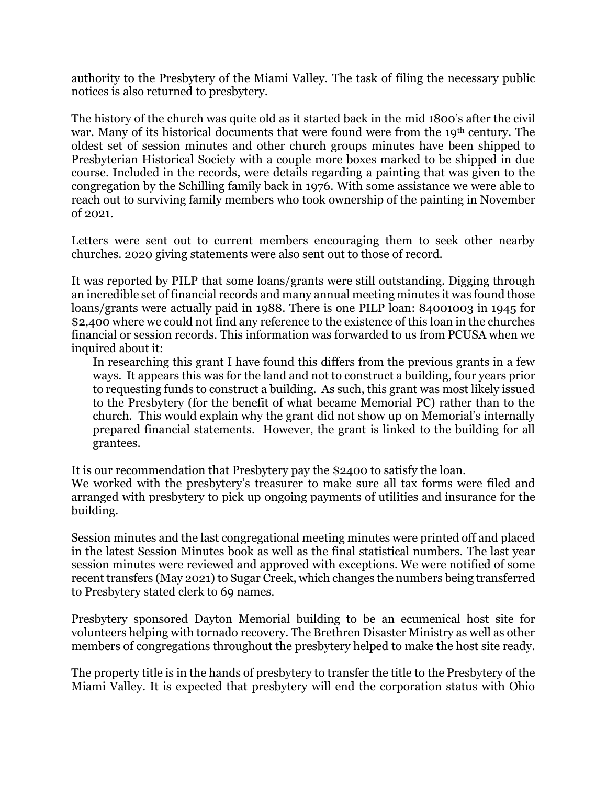authority to the Presbytery of the Miami Valley. The task of filing the necessary public notices is also returned to presbytery.

The history of the church was quite old as it started back in the mid 1800's after the civil war. Many of its historical documents that were found were from the 19<sup>th</sup> century. The oldest set of session minutes and other church groups minutes have been shipped to Presbyterian Historical Society with a couple more boxes marked to be shipped in due course. Included in the records, were details regarding a painting that was given to the congregation by the Schilling family back in 1976. With some assistance we were able to reach out to surviving family members who took ownership of the painting in November of 2021.

Letters were sent out to current members encouraging them to seek other nearby churches. 2020 giving statements were also sent out to those of record.

It was reported by PILP that some loans/grants were still outstanding. Digging through an incredible set of financial records and many annual meeting minutes it was found those loans/grants were actually paid in 1988. There is one PILP loan: 84001003 in 1945 for \$2,400 where we could not find any reference to the existence of this loan in the churches financial or session records. This information was forwarded to us from PCUSA when we inquired about it:

In researching this grant I have found this differs from the previous grants in a few ways. It appears this was for the land and not to construct a building, four years prior to requesting funds to construct a building. As such, this grant was most likely issued to the Presbytery (for the benefit of what became Memorial PC) rather than to the church. This would explain why the grant did not show up on Memorial's internally prepared financial statements. However, the grant is linked to the building for all grantees.

It is our recommendation that Presbytery pay the \$2400 to satisfy the loan.

We worked with the presbytery's treasurer to make sure all tax forms were filed and arranged with presbytery to pick up ongoing payments of utilities and insurance for the building.

Session minutes and the last congregational meeting minutes were printed off and placed in the latest Session Minutes book as well as the final statistical numbers. The last year session minutes were reviewed and approved with exceptions. We were notified of some recent transfers (May 2021) to Sugar Creek, which changes the numbers being transferred to Presbytery stated clerk to 69 names.

Presbytery sponsored Dayton Memorial building to be an ecumenical host site for volunteers helping with tornado recovery. The Brethren Disaster Ministry as well as other members of congregations throughout the presbytery helped to make the host site ready.

The property title is in the hands of presbytery to transfer the title to the Presbytery of the Miami Valley. It is expected that presbytery will end the corporation status with Ohio